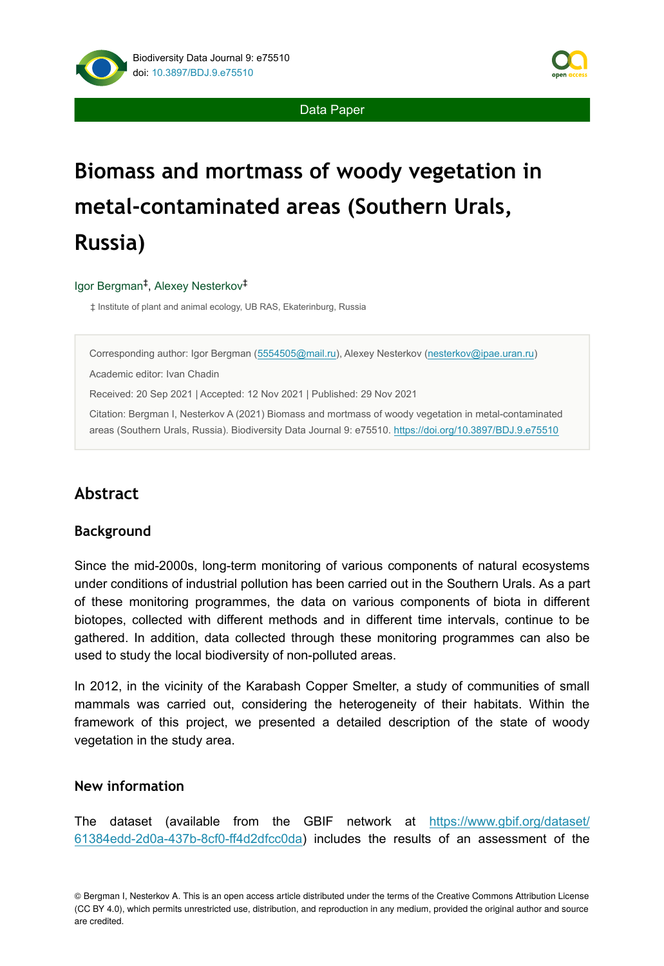

Data Paper

# **Biomass and mortmass of woody vegetation in metal-contaminated areas (Southern Urals, Russia)**

#### Igor Bergman<sup>‡</sup>, Alexey Nesterkov<sup>‡</sup>

‡ Institute of plant and animal ecology, UB RAS, Ekaterinburg, Russia

Corresponding author: Igor Bergman [\(5554505@mail.ru\)](mailto:5554505@mail.ru), Alexey Nesterkov [\(nesterkov@ipae.uran.ru\)](mailto:nesterkov@ipae.uran.ru)

Academic editor: Ivan Chadin

Received: 20 Sep 2021 | Accepted: 12 Nov 2021 | Published: 29 Nov 2021

Citation: Bergman I, Nesterkov A (2021) Biomass and mortmass of woody vegetation in metal-contaminated areas (Southern Urals, Russia). Biodiversity Data Journal 9: e75510.<https://doi.org/10.3897/BDJ.9.e75510>

# **Abstract**

### **Background**

Since the mid-2000s, long-term monitoring of various components of natural ecosystems under conditions of industrial pollution has been carried out in the Southern Urals. As a part of these monitoring programmes, the data on various components of biota in different biotopes, collected with different methods and in different time intervals, continue to be gathered. In addition, data collected through these monitoring programmes can also be used to study the local biodiversity of non-polluted areas.

In 2012, in the vicinity of the Karabash Copper Smelter, a study of communities of small mammals was carried out, considering the heterogeneity of their habitats. Within the framework of this project, we presented a detailed description of the state of woody vegetation in the study area.

#### **New information**

The dataset (available from the GBIF network at [https://www.gbif.org/dataset/](https://www.gbif.org/dataset/61384edd-2d0a-437b-8cf0-ff4d2dfcc0da) [61384edd-2d0a-437b-8cf0-ff4d2dfcc0da\)](https://www.gbif.org/dataset/61384edd-2d0a-437b-8cf0-ff4d2dfcc0da) includes the results of an assessment of the

© Bergman I, Nesterkov A. This is an open access article distributed under the terms of the Creative Commons Attribution License (CC BY 4.0), which permits unrestricted use, distribution, and reproduction in any medium, provided the original author and source are credited.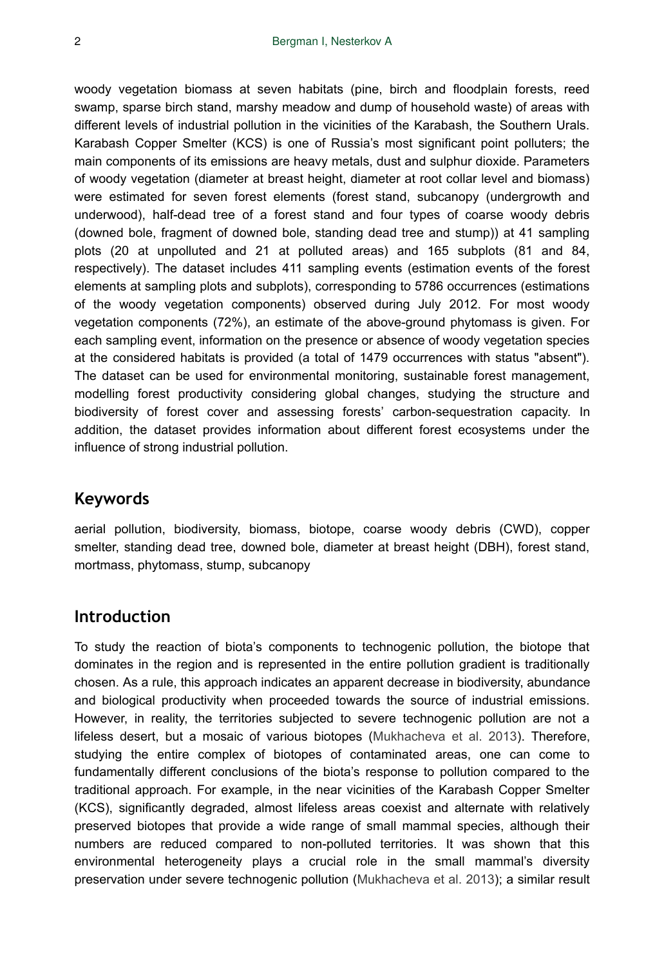woody vegetation biomass at seven habitats (pine, birch and floodplain forests, reed swamp, sparse birch stand, marshy meadow and dump of household waste) of areas with different levels of industrial pollution in the vicinities of the Karabash, the Southern Urals. Karabash Copper Smelter (KCS) is one of Russia's most significant point polluters; the main components of its emissions are heavy metals, dust and sulphur dioxide. Parameters of woody vegetation (diameter at breast height, diameter at root collar level and biomass) were estimated for seven forest elements (forest stand, subcanopy (undergrowth and underwood), half-dead tree of a forest stand and four types of coarse woody debris (downed bole, fragment of downed bole, standing dead tree and stump)) at 41 sampling plots (20 at unpolluted and 21 at polluted areas) and 165 subplots (81 and 84, respectively). The dataset includes 411 sampling events (estimation events of the forest elements at sampling plots and subplots), corresponding to 5786 occurrences (estimations of the woody vegetation components) observed during July 2012. For most woody vegetation components (72%), an estimate of the above-ground phytomass is given. For each sampling event, information on the presence or absence of woody vegetation species at the considered habitats is provided (a total of 1479 occurrences with status "absent"). The dataset can be used for environmental monitoring, sustainable forest management, modelling forest productivity considering global changes, studying the structure and biodiversity of forest cover and assessing forests' carbon-sequestration capacity. In addition, the dataset provides information about different forest ecosystems under the influence of strong industrial pollution.

# **Keywords**

aerial pollution, biodiversity, biomass, biotope, coarse woody debris (CWD), copper smelter, standing dead tree, downed bole, diameter at breast height (DBH), forest stand, mortmass, phytomass, stump, subcanopy

### **Introduction**

To study the reaction of biota's components to technogenic pollution, the biotope that dominates in the region and is represented in the entire pollution gradient is traditionally chosen. As a rule, this approach indicates an apparent decrease in biodiversity, abundance and biological productivity when proceeded towards the source of industrial emissions. However, in reality, the territories subjected to severe technogenic pollution are not a lifeless desert, but a mosaic of various biotopes ([Mukhacheva et al. 2013\)](#page-17-0). Therefore, studying the entire complex of biotopes of contaminated areas, one can come to fundamentally different conclusions of the biota's response to pollution compared to the traditional approach. For example, in the near vicinities of the Karabash Copper Smelter (KCS), significantly degraded, almost lifeless areas coexist and alternate with relatively preserved biotopes that provide a wide range of small mammal species, although their numbers are reduced compared to non-polluted territories. It was shown that this environmental heterogeneity plays a crucial role in the small mammal's diversity preservation under severe technogenic pollution [\(Mukhacheva et al. 2013](#page-17-0)); a similar result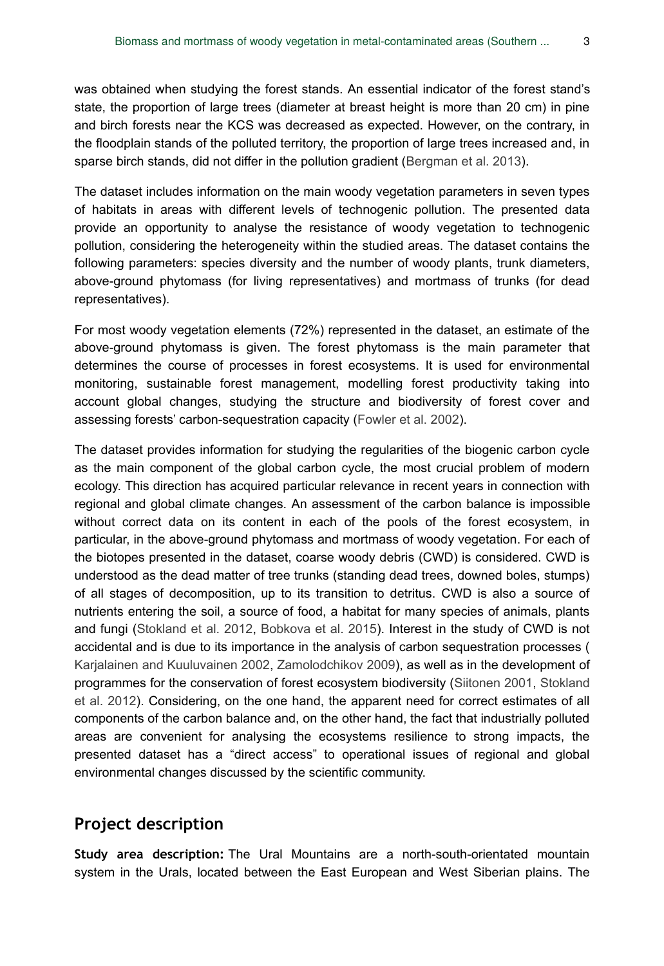was obtained when studying the forest stands. An essential indicator of the forest stand's state, the proportion of large trees (diameter at breast height is more than 20 cm) in pine and birch forests near the KCS was decreased as expected. However, on the contrary, in the floodplain stands of the polluted territory, the proportion of large trees increased and, in sparse birch stands, did not differ in the pollution gradient ([Bergman et al. 2013\)](#page-16-0).

The dataset includes information on the main woody vegetation parameters in seven types of habitats in areas with different levels of technogenic pollution. The presented data provide an opportunity to analyse the resistance of woody vegetation to technogenic pollution, considering the heterogeneity within the studied areas. The dataset contains the following parameters: species diversity and the number of woody plants, trunk diameters, above-ground phytomass (for living representatives) and mortmass of trunks (for dead representatives).

For most woody vegetation elements (72%) represented in the dataset, an estimate of the above-ground phytomass is given. The forest phytomass is the main parameter that determines the course of processes in forest ecosystems. It is used for environmental monitoring, sustainable forest management, modelling forest productivity taking into account global changes, studying the structure and biodiversity of forest cover and assessing forests' carbon-sequestration capacity ([Fowler et al. 2002](#page-16-1)).

The dataset provides information for studying the regularities of the biogenic carbon cycle as the main component of the global carbon cycle, the most crucial problem of modern ecology. This direction has acquired particular relevance in recent years in connection with regional and global climate changes. An assessment of the carbon balance is impossible without correct data on its content in each of the pools of the forest ecosystem, in particular, in the above-ground phytomass and mortmass of woody vegetation. For each of the biotopes presented in the dataset, coarse woody debris (CWD) is considered. CWD is understood as the dead matter of tree trunks (standing dead trees, downed boles, stumps) of all stages of decomposition, up to its transition to detritus. CWD is also a source of nutrients entering the soil, a source of food, a habitat for many species of animals, plants and fungi [\(Stokland et al. 2012,](#page-17-1) [Bobkova et al. 2015](#page-16-2)). Interest in the study of CWD is not accidental and is due to its importance in the analysis of carbon sequestration processes ( [Karjalainen and Kuuluvainen 2002,](#page-16-3) [Zamolodchikov 2009](#page-17-2)), as well as in the development of programmes for the conservation of forest ecosystem biodiversity ([Siitonen 2001](#page-17-3), [Stokland](#page-17-1) [et al. 2012\)](#page-17-1). Considering, on the one hand, the apparent need for correct estimates of all components of the carbon balance and, on the other hand, the fact that industrially polluted areas are convenient for analysing the ecosystems resilience to strong impacts, the presented dataset has a "direct access" to operational issues of regional and global environmental changes discussed by the scientific community.

# **Project description**

**Study area description:** The Ural Mountains are a north-south-orientated mountain system in the Urals, located between the East European and West Siberian plains. The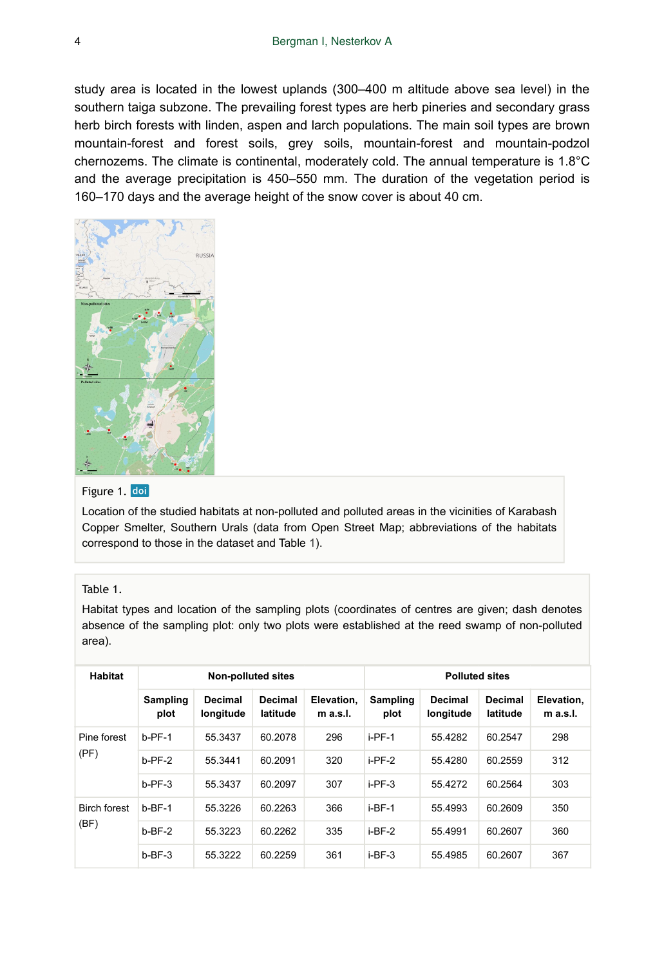study area is located in the lowest uplands (300–400 m altitude above sea level) in the southern taiga subzone. The prevailing forest types are herb pineries and secondary grass herb birch forests with linden, aspen and larch populations. The main soil types are brown mountain-forest and forest soils, grey soils, mountain-forest and mountain-podzol chernozems. The climate is continental, moderately cold. The annual temperature is 1.8°C and the average precipitation is 450–550 mm. The duration of the vegetation period is 160–170 days and the average height of the snow cover is about 40 cm.



#### Figure 1. doi

Location of the studied habitats at non-polluted and polluted areas in the vicinities of Karabash Copper Smelter, Southern Urals (data from Open Street Map; abbreviations of the habitats correspond to those in the dataset and Table [1](#page-3-0)).

#### <span id="page-3-0"></span>Table 1.

Habitat types and location of the sampling plots (coordinates of centres are given; dash denotes absence of the sampling plot: only two plots were established at the reed swamp of non-polluted area).

| <b>Habitat</b>      |                  | <b>Non-polluted sites</b> |                            |                          | <b>Polluted sites</b> |                             |                     |                        |
|---------------------|------------------|---------------------------|----------------------------|--------------------------|-----------------------|-----------------------------|---------------------|------------------------|
|                     | Sampling<br>plot | Decimal<br>longitude      | <b>Decimal</b><br>latitude | Elevation.<br>$m$ a.s.l. | Sampling<br>plot      | <b>Decimal</b><br>longitude | Decimal<br>latitude | Elevation.<br>m a.s.l. |
| Pine forest         | $b-PF-1$         | 55.3437                   | 60.2078                    | 296                      | $i-PF-1$              | 55.4282                     | 60.2547             | 298                    |
| (PF)                | $b-PF-2$         | 55.3441                   | 60.2091                    | 320                      | $i$ -PF-2             | 55.4280                     | 60.2559             | 312                    |
|                     | $b-PF-3$         | 55.3437                   | 60.2097                    | 307                      | $i$ -PF-3             | 55.4272                     | 60.2564             | 303                    |
| <b>Birch forest</b> | $b-BF-1$         | 55.3226                   | 60.2263                    | 366                      | $i-BF-1$              | 55.4993                     | 60.2609             | 350                    |
| (BF)                | $b-BF-2$         | 55.3223                   | 60.2262                    | 335                      | $i-BF-2$              | 55.4991                     | 60.2607             | 360                    |
|                     | $b-BF-3$         | 55.3222                   | 60.2259                    | 361                      | $i$ -BF-3             | 55.4985                     | 60.2607             | 367                    |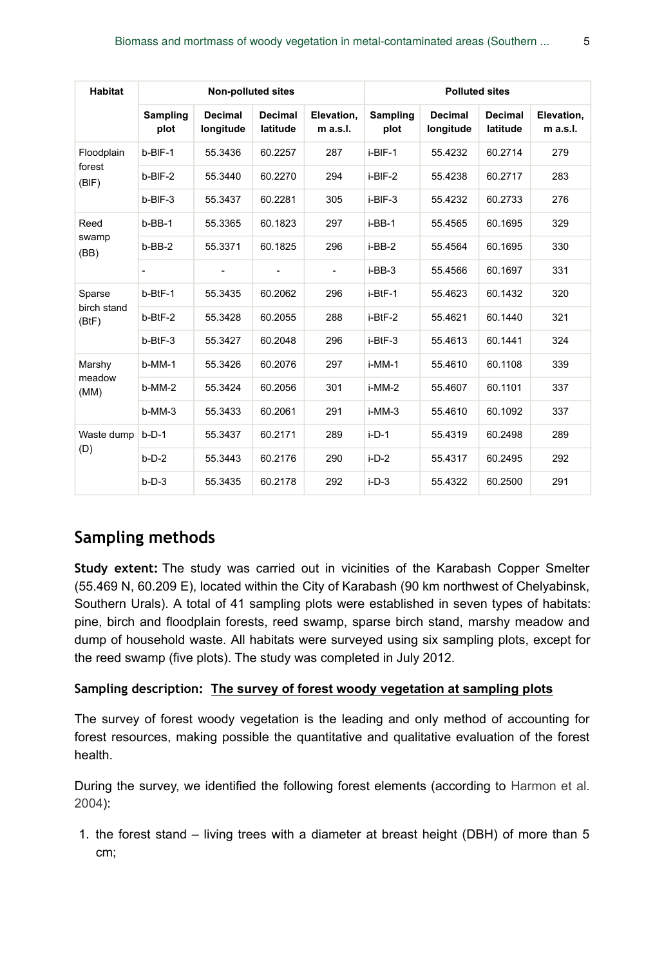| <b>Habitat</b>       |                          | <b>Non-polluted sites</b> |                          |                          | <b>Polluted sites</b> |                             |                     |                          |
|----------------------|--------------------------|---------------------------|--------------------------|--------------------------|-----------------------|-----------------------------|---------------------|--------------------------|
|                      | <b>Sampling</b><br>plot  | Decimal<br>longitude      | Decimal<br>latitude      | Elevation,<br>$m$ a.s.l. | Sampling<br>plot      | <b>Decimal</b><br>longitude | Decimal<br>latitude | Elevation,<br>$m$ a.s.l. |
| Floodplain           | $b-BIF-1$                | 55.3436                   | 60.2257                  | 287                      | i-BIF-1               | 55.4232                     | 60.2714             | 279                      |
| forest<br>(BIF)      | $b-BIF-2$                | 55.3440                   | 60.2270                  | 294                      | $i-BIF-2$             | 55.4238                     | 60.2717             | 283                      |
|                      | $b-BIF-3$                | 55.3437                   | 60.2281                  | 305                      | i-BIF-3               | 55.4232                     | 60.2733             | 276                      |
| Reed                 | $b$ -BB-1                | 55.3365                   | 60.1823                  | 297                      | i-BB-1                | 55.4565                     | 60.1695             | 329                      |
| swamp<br>(BB)        | $b - BB - 2$             | 55.3371                   | 60.1825                  | 296                      | $i-BB-2$              | 55.4564                     | 60.1695             | 330                      |
|                      | $\overline{\phantom{a}}$ | ۰                         | $\overline{\phantom{a}}$ | $\overline{\phantom{a}}$ | $i-BB-3$              | 55.4566                     | 60.1697             | 331                      |
| Sparse               | $b-BtF-1$                | 55.3435                   | 60.2062                  | 296                      | i-BtF-1               | 55.4623                     | 60.1432             | 320                      |
| birch stand<br>(BtF) | $b-BtF-2$                | 55.3428                   | 60.2055                  | 288                      | i-BtF-2               | 55.4621                     | 60.1440             | 321                      |
|                      | $b-BtF-3$                | 55.3427                   | 60.2048                  | 296                      | i-BtF-3               | 55.4613                     | 60.1441             | 324                      |
| Marshy               | $b-MM-1$                 | 55.3426                   | 60.2076                  | 297                      | i-MM-1                | 55.4610                     | 60.1108             | 339                      |
| meadow<br>(MM)       | $b-MM-2$                 | 55.3424                   | 60.2056                  | 301                      | i-MM-2                | 55.4607                     | 60.1101             | 337                      |
|                      | $b-MM-3$                 | 55.3433                   | 60.2061                  | 291                      | i-MM-3                | 55.4610                     | 60.1092             | 337                      |
| Waste dump           | $b-D-1$                  | 55.3437                   | 60.2171                  | 289                      | $i$ -D-1              | 55.4319                     | 60.2498             | 289                      |
| (D)                  | $b-D-2$                  | 55.3443                   | 60.2176                  | 290                      | $i-D-2$               | 55.4317                     | 60.2495             | 292                      |
|                      | $b-D-3$                  | 55.3435                   | 60.2178                  | 292                      | $i$ -D-3              | 55.4322                     | 60.2500             | 291                      |

# **Sampling methods**

**Study extent:** The study was carried out in vicinities of the Karabash Copper Smelter (55.469 N, 60.209 E), located within the City of Karabash (90 km northwest of Chelyabinsk, Southern Urals). A total of 41 sampling plots were established in seven types of habitats: pine, birch and floodplain forests, reed swamp, sparse birch stand, marshy meadow and dump of household waste. All habitats were surveyed using six sampling plots, except for the reed swamp (five plots). The study was completed in July 2012.

#### **Sampling description: The survey of forest woody vegetation at sampling plots**

The survey of forest woody vegetation is the leading and only method of accounting for forest resources, making possible the quantitative and qualitative evaluation of the forest health.

During the survey, we identified the following forest elements (according to [Harmon et al.](#page-16-4) [2004](#page-16-4)):

1. the forest stand – living trees with a diameter at breast height (DBH) of more than 5 cm;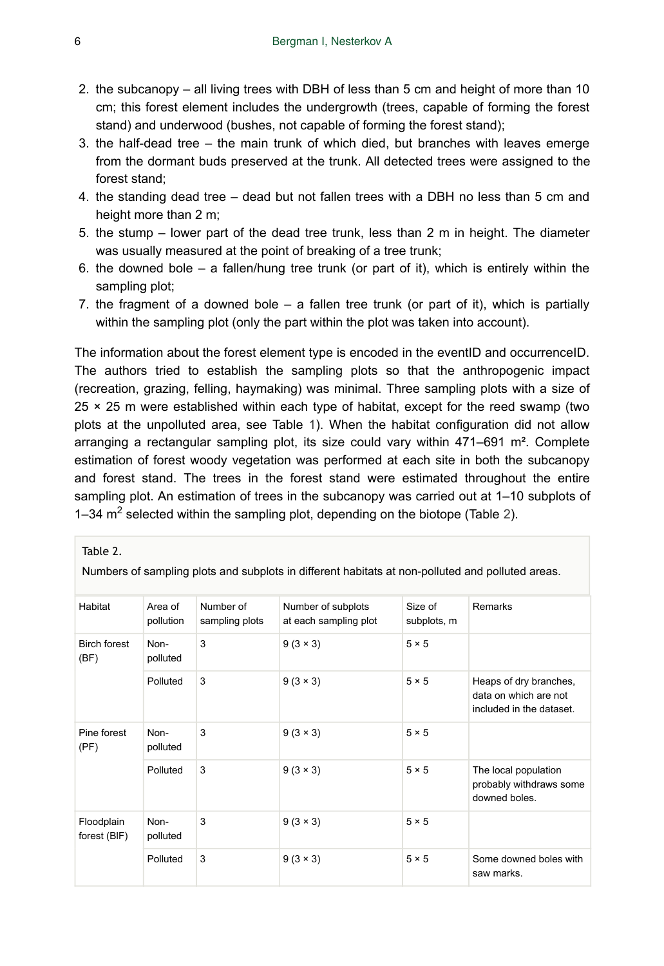- 2. the subcanopy all living trees with DBH of less than 5 cm and height of more than 10 cm; this forest element includes the undergrowth (trees, capable of forming the forest stand) and underwood (bushes, not capable of forming the forest stand);
- 3. the half-dead tree the main trunk of which died, but branches with leaves emerge from the dormant buds preserved at the trunk. All detected trees were assigned to the forest stand;
- 4. the standing dead tree dead but not fallen trees with a DBH no less than 5 cm and height more than 2 m;
- 5. the stump lower part of the dead tree trunk, less than 2 m in height. The diameter was usually measured at the point of breaking of a tree trunk;
- 6. the downed bole a fallen/hung tree trunk (or part of it), which is entirely within the sampling plot;
- 7. the fragment of a downed bole  $-$  a fallen tree trunk (or part of it), which is partially within the sampling plot (only the part within the plot was taken into account).

The information about the forest element type is encoded in the eventID and occurrenceID. The authors tried to establish the sampling plots so that the anthropogenic impact (recreation, grazing, felling, haymaking) was minimal. Three sampling plots with a size of  $25 \times 25$  m were established within each type of habitat, except for the reed swamp (two plots at the unpolluted area, see Table [1](#page-3-0)). When the habitat configuration did not allow arranging a rectangular sampling plot, its size could vary within  $471-691$  m<sup>2</sup>. Complete estimation of forest woody vegetation was performed at each site in both the subcanopy and forest stand. The trees in the forest stand were estimated throughout the entire sampling plot. An estimation of trees in the subcanopy was carried out at 1–10 subplots of 1–34  $m<sup>2</sup>$  selected within the sampling plot, depending on the biotope (Table [2](#page-5-0)).

<span id="page-5-0"></span>

| Table 2 |  |  |  |
|---------|--|--|--|
|---------|--|--|--|

Numbers of sampling plots and subplots in different habitats at non-polluted and polluted areas.

| Habitat                     | Area of<br>pollution | Number of<br>sampling plots | Number of subplots<br>at each sampling plot | Size of<br>subplots, m | Remarks                                                                     |
|-----------------------------|----------------------|-----------------------------|---------------------------------------------|------------------------|-----------------------------------------------------------------------------|
| <b>Birch forest</b><br>(BF) | Non-<br>polluted     | 3                           | $9(3 \times 3)$                             | $5 \times 5$           |                                                                             |
|                             | Polluted             | 3                           | $9(3 \times 3)$                             | $5 \times 5$           | Heaps of dry branches,<br>data on which are not<br>included in the dataset. |
| Pine forest<br>(PF)         | Non-<br>polluted     | 3                           | $9(3 \times 3)$                             | $5 \times 5$           |                                                                             |
|                             | Polluted             | 3                           | $9(3 \times 3)$                             | $5 \times 5$           | The local population<br>probably withdraws some<br>downed boles.            |
| Floodplain<br>forest (BIF)  | Non-<br>polluted     | 3                           | $9(3 \times 3)$                             | $5 \times 5$           |                                                                             |
|                             | Polluted             | 3                           | $9(3 \times 3)$                             | $5 \times 5$           | Some downed boles with<br>saw marks.                                        |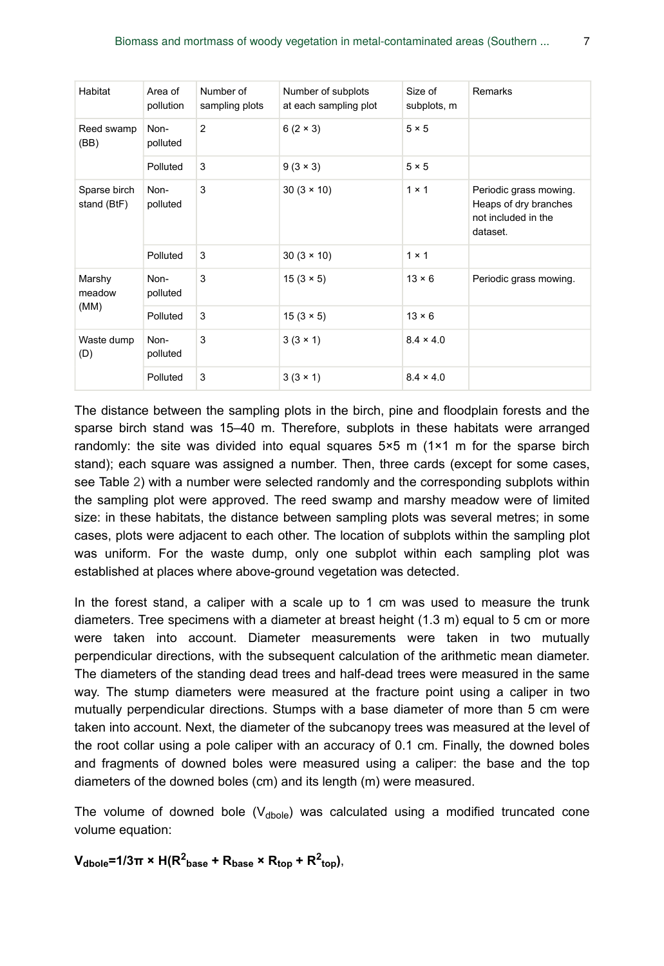| Habitat                     | Area of<br>pollution | Number of<br>sampling plots | Number of subplots<br>at each sampling plot | Size of<br>subplots, m | Remarks                                                                            |
|-----------------------------|----------------------|-----------------------------|---------------------------------------------|------------------------|------------------------------------------------------------------------------------|
| Reed swamp<br>(BB)          | Non-<br>polluted     | 2                           | $6(2 \times 3)$                             | $5 \times 5$           |                                                                                    |
|                             | Polluted             | 3                           | $9(3 \times 3)$                             | $5 \times 5$           |                                                                                    |
| Sparse birch<br>stand (BtF) | Non-<br>polluted     | 3                           | $30(3 \times 10)$                           | $1 \times 1$           | Periodic grass mowing.<br>Heaps of dry branches<br>not included in the<br>dataset. |
|                             | Polluted             | 3                           | $30(3 \times 10)$                           | $1 \times 1$           |                                                                                    |
| Marshy<br>meadow            | Non-<br>polluted     | 3                           | $15(3 \times 5)$                            | $13 \times 6$          | Periodic grass mowing.                                                             |
| (MM)                        | Polluted             | 3                           | $15(3 \times 5)$                            | $13 \times 6$          |                                                                                    |
| Waste dump<br>(D)           | Non-<br>polluted     | 3                           | $3(3 \times 1)$                             | $8.4 \times 4.0$       |                                                                                    |
|                             | Polluted             | 3                           | $3(3 \times 1)$                             | $8.4 \times 4.0$       |                                                                                    |

The distance between the sampling plots in the birch, pine and floodplain forests and the sparse birch stand was 15–40 m. Therefore, subplots in these habitats were arranged randomly: the site was divided into equal squares  $5\times 5$  m  $(1\times 1$  m for the sparse birch stand); each square was assigned a number. Then, three cards (except for some cases, see Table [2\)](#page-5-0) with a number were selected randomly and the corresponding subplots within the sampling plot were approved. The reed swamp and marshy meadow were of limited size: in these habitats, the distance between sampling plots was several metres; in some cases, plots were adjacent to each other. The location of subplots within the sampling plot was uniform. For the waste dump, only one subplot within each sampling plot was established at places where above-ground vegetation was detected.

In the forest stand, a caliper with a scale up to 1 cm was used to measure the trunk diameters. Tree specimens with a diameter at breast height (1.3 m) equal to 5 cm or more were taken into account. Diameter measurements were taken in two mutually perpendicular directions, with the subsequent calculation of the arithmetic mean diameter. The diameters of the standing dead trees and half-dead trees were measured in the same way. The stump diameters were measured at the fracture point using a caliper in two mutually perpendicular directions. Stumps with a base diameter of more than 5 cm were taken into account. Next, the diameter of the subcanopy trees was measured at the level of the root collar using a pole caliper with an accuracy of 0.1 cm. Finally, the downed boles and fragments of downed boles were measured using a caliper: the base and the top diameters of the downed boles (cm) and its length (m) were measured.

The volume of downed bole  $(V_{\text{dbole}})$  was calculated using a modified truncated cone volume equation:

 $V_{\text{dbole}}$ =1/3 $\pi \times H(R^2_{\text{base}} + R_{\text{base}} \times R_{\text{top}} + R^2_{\text{top}})$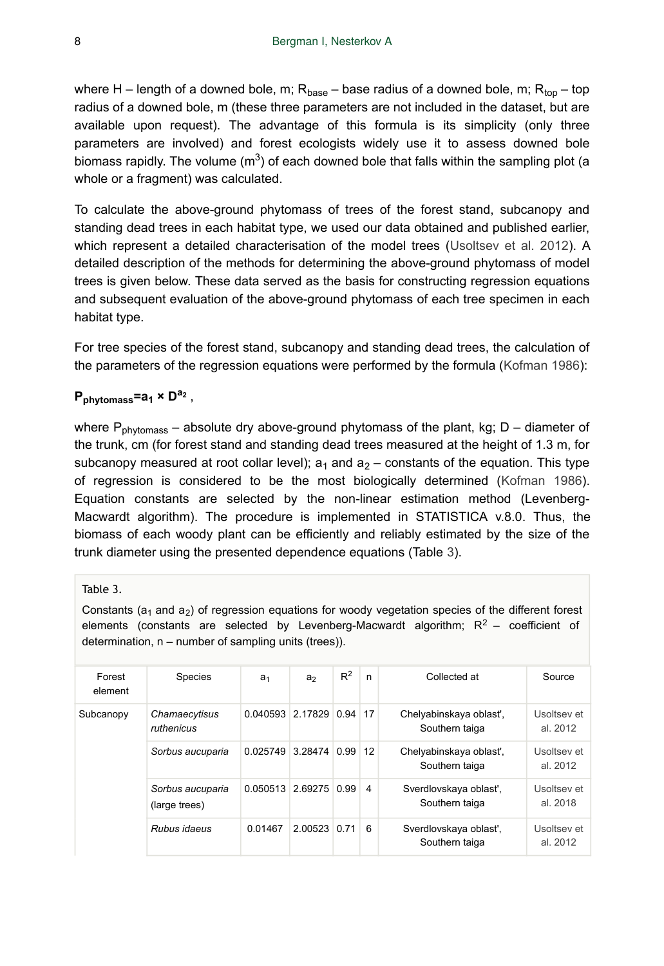where H – length of a downed bole, m;  $\mathsf{R}_{\text{base}}$  – base radius of a downed bole, m;  $\mathsf{R}_{\text{top}}$  – top radius of a downed bole, m (these three parameters are not included in the dataset, but are available upon request). The advantage of this formula is its simplicity (only three parameters are involved) and forest ecologists widely use it to assess downed bole biomass rapidly. The volume  $(m^3)$  of each downed bole that falls within the sampling plot (a whole or a fragment) was calculated.

To calculate the above-ground phytomass of trees of the forest stand, subcanopy and standing dead trees in each habitat type, we used our data obtained and published earlier, which represent a detailed characterisation of the model trees ([Usoltsev et al. 2012](#page-17-4)). A detailed description of the methods for determining the above-ground phytomass of model trees is given below. These data served as the basis for constructing regression equations and subsequent evaluation of the above-ground phytomass of each tree specimen in each habitat type.

For tree species of the forest stand, subcanopy and standing dead trees, the calculation of the parameters of the regression equations were performed by the formula ([Kofman 1986](#page-16-5)):

## $P_{\text{phytomass}} = a_1 \times D^{a_2}$ ,

where P<sub>phytomass</sub> – absolute dry above-ground phytomass of the plant, kg; D – diameter of the trunk, cm (for forest stand and standing dead trees measured at the height of 1.3 m, for subcanopy measured at root collar level);  $a_1$  and  $a_2$  – constants of the equation. This type of regression is considered to be the most biologically determined ([Kofman 1986\)](#page-16-5). Equation constants are selected by the non-linear estimation method (Levenberg-Macwardt algorithm). The procedure is implemented in STATISTICA v.8.0. Thus, the biomass of each woody plant can be efficiently and reliably estimated by the size of the trunk diameter using the presented dependence equations (Table [3\)](#page-7-0).

#### <span id="page-7-0"></span>Table 3.

Constants ( $a_1$  and  $a_2$ ) of regression equations for woody vegetation species of the different forest elements (constants are selected by Levenberg-Macwardt algorithm;  $R^2$  – coefficient of determination, n – number of sampling units (trees)).

| Forest<br>element | <b>Species</b>                    | a <sub>1</sub>             | a <sub>2</sub> | $R^2$ | n  | Collected at                              | Source                  |
|-------------------|-----------------------------------|----------------------------|----------------|-------|----|-------------------------------------------|-------------------------|
| Subcanopy         | Chamaecytisus<br>ruthenicus       | $0.040593$ 2.17829 0.94    |                |       | 17 | Chelyabinskaya oblast',<br>Southern taiga | Usoltsey et<br>al. 2012 |
|                   | Sorbus aucuparia                  | $0.025749$ 3.28474 0.99 12 |                |       |    | Chelyabinskaya oblast',<br>Southern taiga | Usoltsey et<br>al. 2012 |
|                   | Sorbus aucuparia<br>(large trees) | $0.050513$ 2.69275 0.99    |                |       | 4  | Sverdlovskaya oblasť,<br>Southern taiga   | Usoltsey et<br>al. 2018 |
|                   | Rubus idaeus                      | 0.01467                    | 2.00523 0.71   |       | 6  | Sverdlovskaya oblasť,<br>Southern taiga   | Usoltsey et<br>al. 2012 |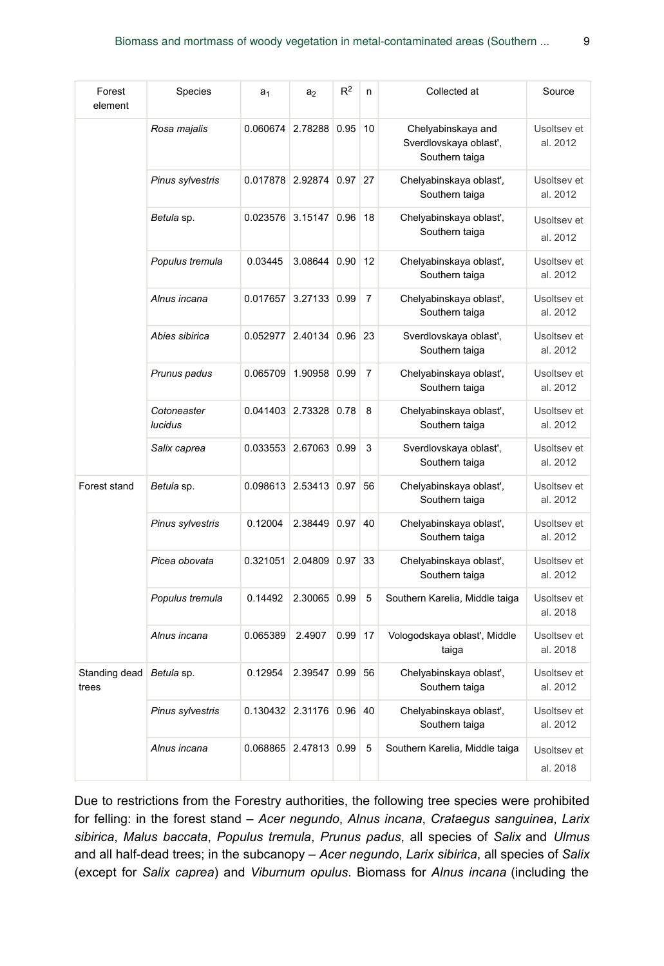| Forest<br>element      | <b>Species</b>                | a <sub>1</sub>   | a <sub>2</sub> | $R^2$     | n              | Collected at                                                  | Source                  |
|------------------------|-------------------------------|------------------|----------------|-----------|----------------|---------------------------------------------------------------|-------------------------|
|                        | Rosa majalis                  | 0.060674 2.78288 |                | $0.95$ 10 |                | Chelyabinskaya and<br>Sverdlovskaya oblasť,<br>Southern taiga | Usoltsev et<br>al. 2012 |
|                        | Pinus sylvestris              | 0.017878 2.92874 |                | $0.97$ 27 |                | Chelyabinskaya oblast',<br>Southern taiga                     | Usoltsev et<br>al. 2012 |
|                        | Betula sp.                    | 0.023576 3.15147 |                | 0.96      | 18             | Chelyabinskaya oblast',<br>Southern taiga                     | Usoltsev et<br>al. 2012 |
|                        | Populus tremula               | 0.03445          | 3.08644        | 0.90      | 12             | Chelyabinskaya oblast',<br>Southern taiga                     | Usoltsev et<br>al. 2012 |
|                        | Alnus incana                  | 0.017657         | 3.27133 0.99   |           | $\overline{7}$ | Chelyabinskaya oblast',<br>Southern taiga                     | Usoltsev et<br>al. 2012 |
|                        | Abies sibirica                | 0.052977         | 2.40134        | $0.96$ 23 |                | Sverdlovskaya oblasť,<br>Southern taiga                       | Usoltsev et<br>al. 2012 |
|                        | Prunus padus                  | 0.065709 1.90958 |                | 0.99      | $\overline{7}$ | Chelyabinskaya oblast',<br>Southern taiga                     | Usoltsev et<br>al. 2012 |
|                        | Cotoneaster<br><b>lucidus</b> | 0.041403 2.73328 |                | 0.78      | 8              | Chelyabinskaya oblast',<br>Southern taiga                     | Usoltsev et<br>al. 2012 |
|                        | Salix caprea                  | 0.033553 2.67063 |                | 0.99      | 3              | Sverdlovskaya oblast',<br>Southern taiga                      | Usoltsev et<br>al. 2012 |
| Forest stand           | Betula sp.                    | 0.098613 2.53413 |                | 0.97      | 56             | Chelyabinskaya oblast',<br>Southern taiga                     | Usoltsey et<br>al. 2012 |
|                        | Pinus sylvestris              | 0.12004          | 2.38449        | 0.97      | 40             | Chelyabinskaya oblast',<br>Southern taiga                     | Usoltsev et<br>al. 2012 |
|                        | Picea obovata                 | 0.321051         | 2.04809        | 0.97      | 33             | Chelyabinskaya oblast',<br>Southern taiga                     | Usoltsey et<br>al. 2012 |
|                        | Populus tremula               | 0.14492          | 2.30065        | 0.99      | 5              | Southern Karelia, Middle taiga                                | Usoltsev et<br>al. 2018 |
|                        | Alnus incana                  | 0.065389         | 2.4907         | 0.99      | 17             | Vologodskaya oblasť, Middle<br>taiga                          | Usoltsey et<br>al. 2018 |
| Standing dead<br>trees | Betula sp.                    | 0.12954          | 2.39547        | 0.99      | 56             | Chelyabinskaya oblast',<br>Southern taiga                     | Usoltsev et<br>al. 2012 |
|                        | Pinus sylvestris              | 0.130432         | 2.31176        | $0.96$ 40 |                | Chelyabinskaya oblast',<br>Southern taiga                     | Usoltsey et<br>al. 2012 |
|                        | Alnus incana                  | 0.068865 2.47813 |                | 0.99      | 5              | Southern Karelia, Middle taiga                                | Usoltsey et<br>al. 2018 |

Due to restrictions from the Forestry authorities, the following tree species were prohibited for felling: in the forest stand – *Acer negundo*, *Alnus incana*, *Crataegus sanguinea*, *Larix sibirica*, *Malus baccata*, *Populus tremula*, *Prunus padus*, all species of *Salix* and *Ulmus* and all half-dead trees; in the subcanopy – *Acer negundo*, *Larix sibirica*, all species of *Salix* (except for *Salix caprea*) and *Viburnum opulus*. Biomass for *Alnus incana* (including the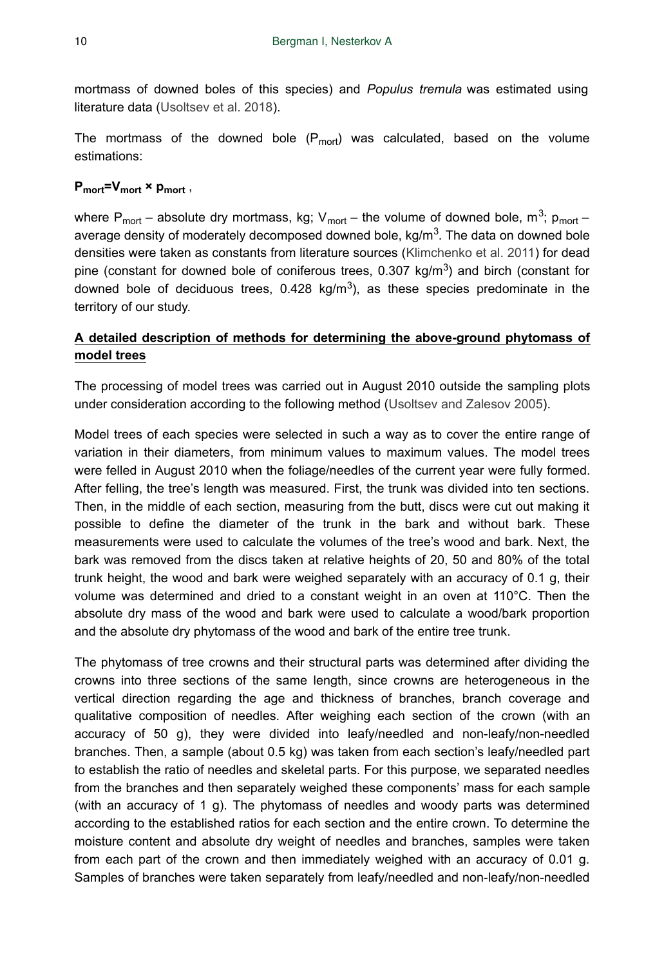mortmass of downed boles of this species) and *Populus tremula* was estimated using literature data ([Usoltsev et al. 2018](#page-17-5)).

The mortmass of the downed bole  $(P_{mot})$  was calculated, based on the volume estimations:

# P<sub>mort</sub>=V<sub>mort</sub> × p<sub>mort</sub>,

where P<sub>mort</sub> – absolute dry mortmass, kg; V<sub>mort</sub> – the volume of downed bole, m<sup>3</sup>; p<sub>mort</sub> – average density of moderately decomposed downed bole, kg/m<sup>3</sup>. The data on downed bole densities were taken as constants from literature sources ([Klimchenko et al. 2011\)](#page-16-6) for dead pine (constant for downed bole of coniferous trees,  $0.307$  kg/m<sup>3</sup>) and birch (constant for downed bole of deciduous trees,  $0.428 \text{ kg/m}^3$ ), as these species predominate in the territory of our study.

## **A detailed description of methods for determining the above-ground phytomass of model trees**

The processing of model trees was carried out in August 2010 outside the sampling plots under consideration according to the following method ([Usoltsev and Zalesov 2005](#page-17-6)).

Model trees of each species were selected in such a way as to cover the entire range of variation in their diameters, from minimum values to maximum values. The model trees were felled in August 2010 when the foliage/needles of the current year were fully formed. After felling, the tree's length was measured. First, the trunk was divided into ten sections. Then, in the middle of each section, measuring from the butt, discs were cut out making it possible to define the diameter of the trunk in the bark and without bark. These measurements were used to calculate the volumes of the tree's wood and bark. Next, the bark was removed from the discs taken at relative heights of 20, 50 and 80% of the total trunk height, the wood and bark were weighed separately with an accuracy of 0.1 g, their volume was determined and dried to a constant weight in an oven at 110°C. Then the absolute dry mass of the wood and bark were used to calculate a wood/bark proportion and the absolute dry phytomass of the wood and bark of the entire tree trunk.

The phytomass of tree crowns and their structural parts was determined after dividing the crowns into three sections of the same length, since crowns are heterogeneous in the vertical direction regarding the age and thickness of branches, branch coverage and qualitative composition of needles. After weighing each section of the crown (with an accuracy of 50 g), they were divided into leafy/needled and non-leafy/non-needled branches. Then, a sample (about 0.5 kg) was taken from each section's leafy/needled part to establish the ratio of needles and skeletal parts. For this purpose, we separated needles from the branches and then separately weighed these components' mass for each sample (with an accuracy of 1 g). The phytomass of needles and woody parts was determined according to the established ratios for each section and the entire crown. To determine the moisture content and absolute dry weight of needles and branches, samples were taken from each part of the crown and then immediately weighed with an accuracy of 0.01 g. Samples of branches were taken separately from leafy/needled and non-leafy/non-needled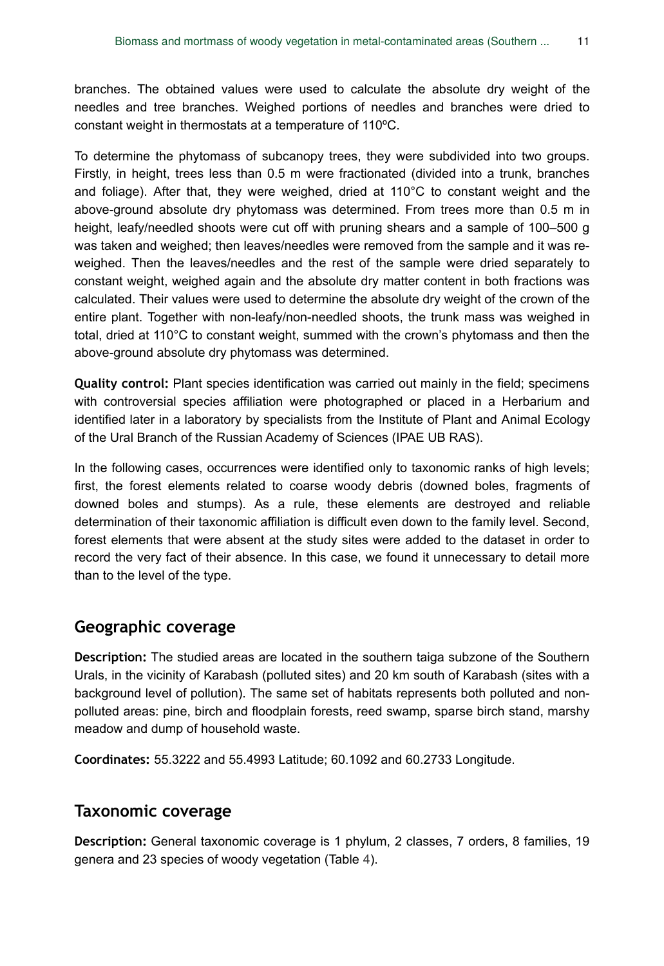branches. The obtained values were used to calculate the absolute dry weight of the needles and tree branches. Weighed portions of needles and branches were dried to constant weight in thermostats at a temperature of 110ºC.

To determine the phytomass of subcanopy trees, they were subdivided into two groups. Firstly, in height, trees less than 0.5 m were fractionated (divided into a trunk, branches and foliage). After that, they were weighed, dried at 110°C to constant weight and the above-ground absolute dry phytomass was determined. From trees more than 0.5 m in height, leafy/needled shoots were cut off with pruning shears and a sample of 100–500 g was taken and weighed; then leaves/needles were removed from the sample and it was reweighed. Then the leaves/needles and the rest of the sample were dried separately to constant weight, weighed again and the absolute dry matter content in both fractions was calculated. Their values were used to determine the absolute dry weight of the crown of the entire plant. Together with non-leafy/non-needled shoots, the trunk mass was weighed in total, dried at 110°C to constant weight, summed with the crown's phytomass and then the above-ground absolute dry phytomass was determined.

**Quality control:** Plant species identification was carried out mainly in the field; specimens with controversial species affiliation were photographed or placed in a Herbarium and identified later in a laboratory by specialists from the Institute of Plant and Animal Ecology of the Ural Branch of the Russian Academy of Sciences (IPAE UB RAS).

In the following cases, occurrences were identified only to taxonomic ranks of high levels; first, the forest elements related to coarse woody debris (downed boles, fragments of downed boles and stumps). As a rule, these elements are destroyed and reliable determination of their taxonomic affiliation is difficult even down to the family level. Second, forest elements that were absent at the study sites were added to the dataset in order to record the very fact of their absence. In this case, we found it unnecessary to detail more than to the level of the type.

# **Geographic coverage**

**Description:** The studied areas are located in the southern taiga subzone of the Southern Urals, in the vicinity of Karabash (polluted sites) and 20 km south of Karabash (sites with a background level of pollution). The same set of habitats represents both polluted and nonpolluted areas: pine, birch and floodplain forests, reed swamp, sparse birch stand, marshy meadow and dump of household waste.

**Coordinates:** 55.3222 and 55.4993 Latitude; 60.1092 and 60.2733 Longitude.

### **Taxonomic coverage**

**Description:** General taxonomic coverage is 1 phylum, 2 classes, 7 orders, 8 families, 19 genera and 23 species of woody vegetation (Table [4\)](#page-11-0).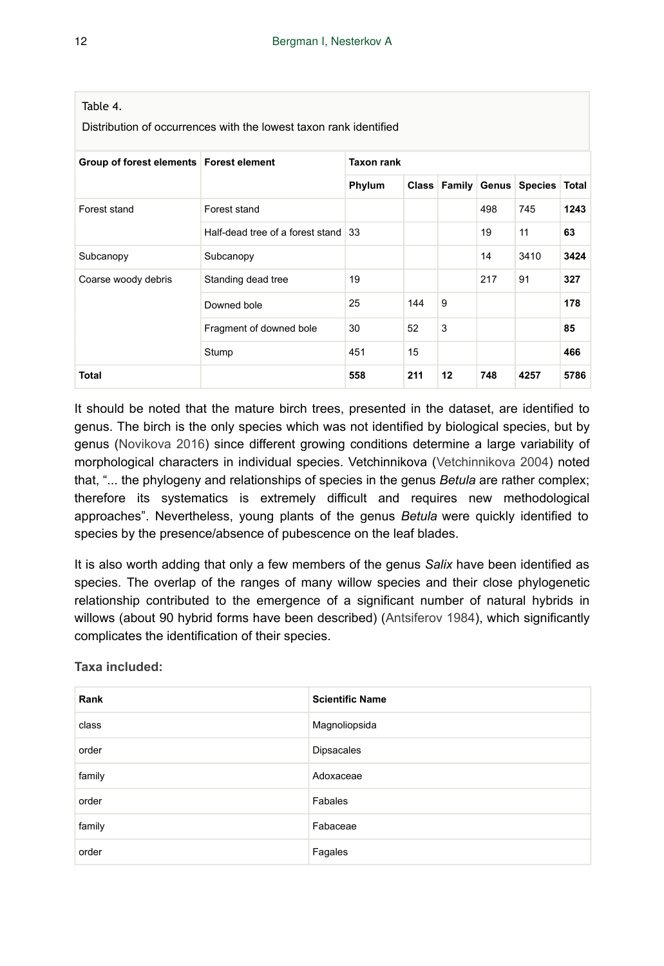<span id="page-11-0"></span>

| Table 4.<br>Distribution of occurrences with the lowest taxon rank identified |                                     |                   |     |    |     |                                  |      |  |
|-------------------------------------------------------------------------------|-------------------------------------|-------------------|-----|----|-----|----------------------------------|------|--|
| Group of forest elements   Forest element                                     |                                     | <b>Taxon rank</b> |     |    |     |                                  |      |  |
|                                                                               |                                     | Phylum            |     |    |     | Class Family Genus Species Total |      |  |
| Forest stand                                                                  | Forest stand                        |                   |     |    | 498 | 745                              | 1243 |  |
|                                                                               | Half-dead tree of a forest stand 33 |                   |     |    | 19  | 11                               | 63   |  |
| Subcanopy                                                                     | Subcanopy                           |                   |     |    | 14  | 3410                             | 3424 |  |
| Coarse woody debris                                                           | Standing dead tree                  | 19                |     |    | 217 | 91                               | 327  |  |
|                                                                               | Downed bole                         | 25                | 144 | 9  |     |                                  | 178  |  |
|                                                                               | Fragment of downed bole             | 30                | 52  | 3  |     |                                  | 85   |  |
|                                                                               | Stump                               | 451               | 15  |    |     |                                  | 466  |  |
| <b>Total</b>                                                                  |                                     | 558               | 211 | 12 | 748 | 4257                             | 5786 |  |

It should be noted that the mature birch trees, presented in the dataset, are identified to genus. The birch is the only species which was not identified by biological species, but by genus ([Novikova 2016](#page-17-7)) since different growing conditions determine a large variability of morphological characters in individual species. Vetchinnikova [\(Vetchinnikova 2004](#page-17-8)) noted that, "... the phylogeny and relationships of species in the genus *Betula* are rather complex; therefore its systematics is extremely difficult and requires new methodological approaches". Nevertheless, young plants of the genus *Betula* were quickly identified to species by the presence/absence of pubescence on the leaf blades.

It is also worth adding that only a few members of the genus *Salix* have been identified as species. The overlap of the ranges of many willow species and their close phylogenetic relationship contributed to the emergence of a significant number of natural hybrids in willows (about 90 hybrid forms have been described) [\(Antsiferov 1984](#page-16-7)), which significantly complicates the identification of their species.

**Taxa included:**

| Rank   | <b>Scientific Name</b> |
|--------|------------------------|
| class  | Magnoliopsida          |
| order  | <b>Dipsacales</b>      |
| family | Adoxaceae              |
| order  | Fabales                |
| family | Fabaceae               |
| order  | Fagales                |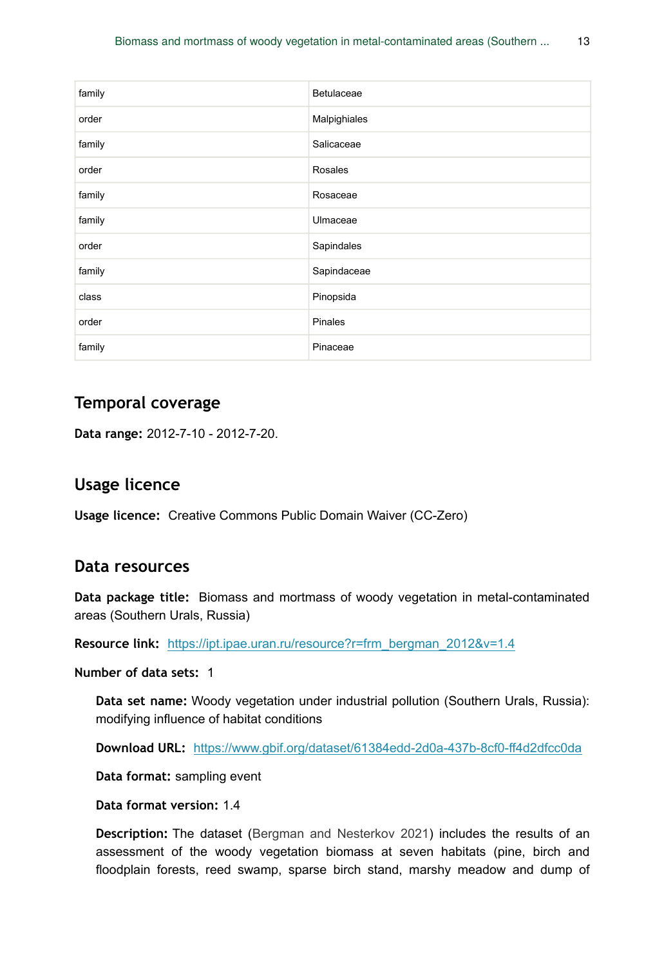| family | Betulaceae   |
|--------|--------------|
| order  | Malpighiales |
| family | Salicaceae   |
| order  | Rosales      |
| family | Rosaceae     |
| family | Ulmaceae     |
| order  | Sapindales   |
| family | Sapindaceae  |
| class  | Pinopsida    |
| order  | Pinales      |
| family | Pinaceae     |

## **Temporal coverage**

**Data range:** 2012-7-10 - 2012-7-20.

## **Usage licence**

**Usage licence:** Creative Commons Public Domain Waiver (CC-Zero)

### **Data resources**

**Data package title:** Biomass and mortmass of woody vegetation in metal-contaminated areas (Southern Urals, Russia)

**Resource link:** [https://ipt.ipae.uran.ru/resource?r=frm\\_bergman\\_2012&v=1.4](https://ipt.ipae.uran.ru/resource?r=frm_bergman_2012&v=1.4)

**Number of data sets:** 1

**Data set name:** Woody vegetation under industrial pollution (Southern Urals, Russia): modifying influence of habitat conditions

**Download URL:** <https://www.gbif.org/dataset/61384edd-2d0a-437b-8cf0-ff4d2dfcc0da>

**Data format:** sampling event

**Data format version:** 1.4

**Description:** The dataset ([Bergman and Nesterkov 2021](#page-16-8)) includes the results of an assessment of the woody vegetation biomass at seven habitats (pine, birch and floodplain forests, reed swamp, sparse birch stand, marshy meadow and dump of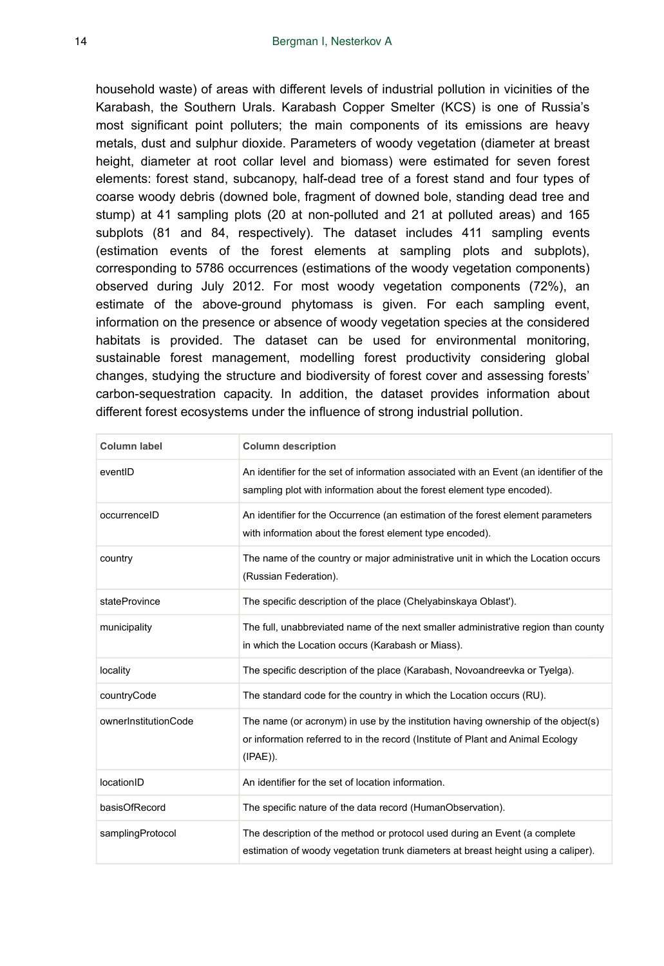household waste) of areas with different levels of industrial pollution in vicinities of the Karabash, the Southern Urals. Karabash Copper Smelter (KCS) is one of Russia's most significant point polluters; the main components of its emissions are heavy metals, dust and sulphur dioxide. Parameters of woody vegetation (diameter at breast height, diameter at root collar level and biomass) were estimated for seven forest elements: forest stand, subcanopy, half-dead tree of a forest stand and four types of coarse woody debris (downed bole, fragment of downed bole, standing dead tree and stump) at 41 sampling plots (20 at non-polluted and 21 at polluted areas) and 165 subplots (81 and 84, respectively). The dataset includes 411 sampling events (estimation events of the forest elements at sampling plots and subplots), corresponding to 5786 occurrences (estimations of the woody vegetation components) observed during July 2012. For most woody vegetation components (72%), an estimate of the above-ground phytomass is given. For each sampling event, information on the presence or absence of woody vegetation species at the considered habitats is provided. The dataset can be used for environmental monitoring, sustainable forest management, modelling forest productivity considering global changes, studying the structure and biodiversity of forest cover and assessing forests' carbon-sequestration capacity. In addition, the dataset provides information about different forest ecosystems under the influence of strong industrial pollution.

| <b>Column label</b>  | <b>Column description</b>                                                                                                                                                           |
|----------------------|-------------------------------------------------------------------------------------------------------------------------------------------------------------------------------------|
| eventID              | An identifier for the set of information associated with an Event (an identifier of the<br>sampling plot with information about the forest element type encoded).                   |
| occurrenceID         | An identifier for the Occurrence (an estimation of the forest element parameters<br>with information about the forest element type encoded).                                        |
| country              | The name of the country or major administrative unit in which the Location occurs<br>(Russian Federation).                                                                          |
| stateProvince        | The specific description of the place (Chelyabinskaya Oblast').                                                                                                                     |
| municipality         | The full, unabbreviated name of the next smaller administrative region than county<br>in which the Location occurs (Karabash or Miass).                                             |
| locality             | The specific description of the place (Karabash, Novoandreevka or Tyelga).                                                                                                          |
| countryCode          | The standard code for the country in which the Location occurs (RU).                                                                                                                |
| ownerInstitutionCode | The name (or acronym) in use by the institution having ownership of the object(s)<br>or information referred to in the record (Institute of Plant and Animal Ecology<br>$(IPAE)$ ). |
| locationID           | An identifier for the set of location information.                                                                                                                                  |
| basisOfRecord        | The specific nature of the data record (HumanObservation).                                                                                                                          |
| samplingProtocol     | The description of the method or protocol used during an Event (a complete<br>estimation of woody vegetation trunk diameters at breast height using a caliper).                     |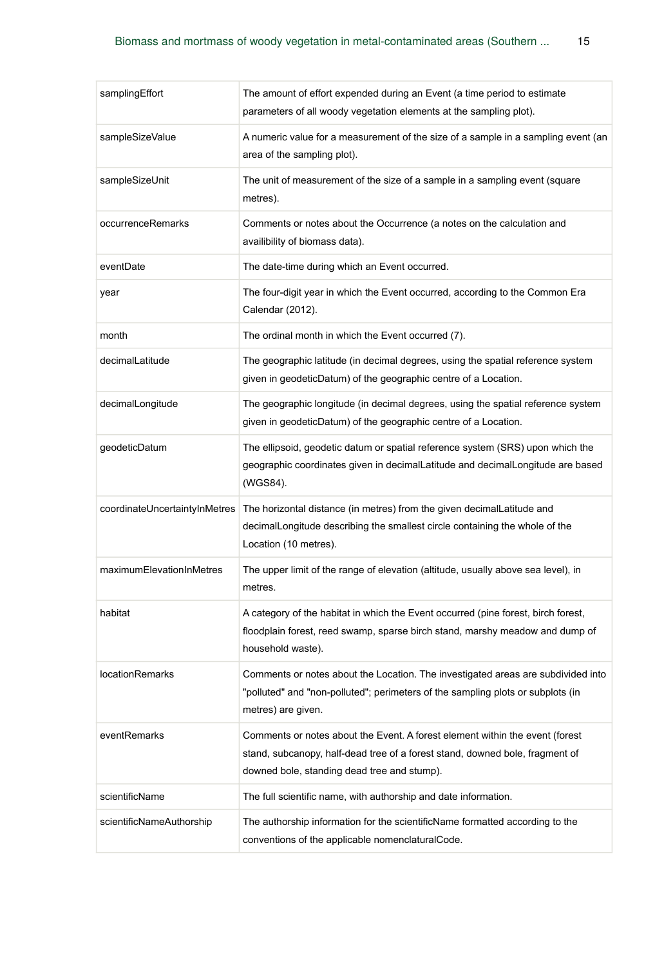| samplingEffort                | The amount of effort expended during an Event (a time period to estimate<br>parameters of all woody vegetation elements at the sampling plot).                                                              |
|-------------------------------|-------------------------------------------------------------------------------------------------------------------------------------------------------------------------------------------------------------|
| sampleSizeValue               | A numeric value for a measurement of the size of a sample in a sampling event (an<br>area of the sampling plot).                                                                                            |
| sampleSizeUnit                | The unit of measurement of the size of a sample in a sampling event (square<br>metres).                                                                                                                     |
| occurrenceRemarks             | Comments or notes about the Occurrence (a notes on the calculation and<br>availibility of biomass data).                                                                                                    |
| eventDate                     | The date-time during which an Event occurred.                                                                                                                                                               |
| year                          | The four-digit year in which the Event occurred, according to the Common Era<br>Calendar (2012).                                                                                                            |
| month                         | The ordinal month in which the Event occurred (7).                                                                                                                                                          |
| decimalLatitude               | The geographic latitude (in decimal degrees, using the spatial reference system<br>given in geodeticDatum) of the geographic centre of a Location.                                                          |
| decimalLongitude              | The geographic longitude (in decimal degrees, using the spatial reference system<br>given in geodeticDatum) of the geographic centre of a Location.                                                         |
| geodeticDatum                 | The ellipsoid, geodetic datum or spatial reference system (SRS) upon which the<br>geographic coordinates given in decimalLatitude and decimalLongitude are based<br>(WGS84).                                |
| coordinateUncertaintyInMetres | The horizontal distance (in metres) from the given decimalLatitude and<br>decimalLongitude describing the smallest circle containing the whole of the<br>Location (10 metres).                              |
| maximumElevationInMetres      | The upper limit of the range of elevation (altitude, usually above sea level), in<br>metres.                                                                                                                |
| habitat                       | A category of the habitat in which the Event occurred (pine forest, birch forest,<br>floodplain forest, reed swamp, sparse birch stand, marshy meadow and dump of<br>household waste).                      |
| <b>locationRemarks</b>        | Comments or notes about the Location. The investigated areas are subdivided into<br>"polluted" and "non-polluted"; perimeters of the sampling plots or subplots (in<br>metres) are given.                   |
| eventRemarks                  | Comments or notes about the Event. A forest element within the event (forest<br>stand, subcanopy, half-dead tree of a forest stand, downed bole, fragment of<br>downed bole, standing dead tree and stump). |
| scientificName                | The full scientific name, with authorship and date information.                                                                                                                                             |
| scientificNameAuthorship      | The authorship information for the scientificName formatted according to the<br>conventions of the applicable nomenclaturalCode.                                                                            |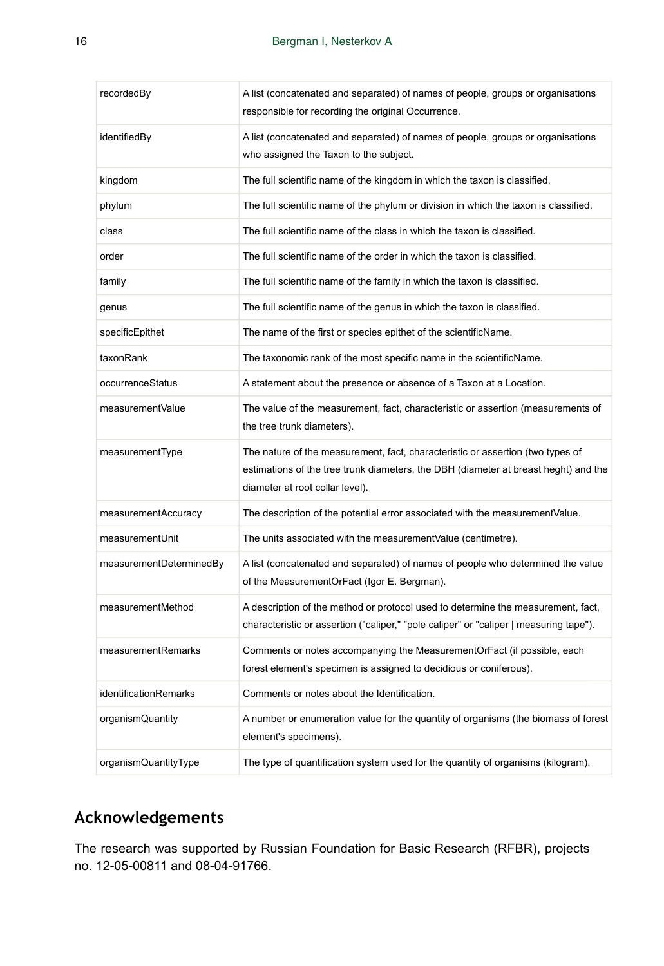| recordedBy                   | A list (concatenated and separated) of names of people, groups or organisations<br>responsible for recording the original Occurrence.                                                                    |
|------------------------------|----------------------------------------------------------------------------------------------------------------------------------------------------------------------------------------------------------|
| identifiedBy                 | A list (concatenated and separated) of names of people, groups or organisations<br>who assigned the Taxon to the subject.                                                                                |
| kingdom                      | The full scientific name of the kingdom in which the taxon is classified.                                                                                                                                |
| phylum                       | The full scientific name of the phylum or division in which the taxon is classified.                                                                                                                     |
| class                        | The full scientific name of the class in which the taxon is classified.                                                                                                                                  |
| order                        | The full scientific name of the order in which the taxon is classified.                                                                                                                                  |
| family                       | The full scientific name of the family in which the taxon is classified.                                                                                                                                 |
| genus                        | The full scientific name of the genus in which the taxon is classified.                                                                                                                                  |
| specificEpithet              | The name of the first or species epithet of the scientificName.                                                                                                                                          |
| taxonRank                    | The taxonomic rank of the most specific name in the scientificName.                                                                                                                                      |
| occurrenceStatus             | A statement about the presence or absence of a Taxon at a Location.                                                                                                                                      |
| measurementValue             | The value of the measurement, fact, characteristic or assertion (measurements of<br>the tree trunk diameters).                                                                                           |
| measurementType              | The nature of the measurement, fact, characteristic or assertion (two types of<br>estimations of the tree trunk diameters, the DBH (diameter at breast heght) and the<br>diameter at root collar level). |
| measurementAccuracy          | The description of the potential error associated with the measurementValue.                                                                                                                             |
| measurementUnit              | The units associated with the measurement Value (centimetre).                                                                                                                                            |
| measurementDeterminedBy      | A list (concatenated and separated) of names of people who determined the value<br>of the MeasurementOrFact (Igor E. Bergman).                                                                           |
| measurementMethod            | A description of the method or protocol used to determine the measurement, fact,<br>characteristic or assertion ("caliper," "pole caliper" or "caliper   measuring tape").                               |
| measurementRemarks           | Comments or notes accompanying the MeasurementOrFact (if possible, each<br>forest element's specimen is assigned to decidious or coniferous).                                                            |
| <i>identificationRemarks</i> | Comments or notes about the Identification.                                                                                                                                                              |
| organismQuantity             | A number or enumeration value for the quantity of organisms (the biomass of forest<br>element's specimens).                                                                                              |
| organismQuantityType         | The type of quantification system used for the quantity of organisms (kilogram).                                                                                                                         |

# **Acknowledgements**

The research was supported by Russian Foundation for Basic Research (RFBR), projects no. 12-05-00811 and 08-04-91766.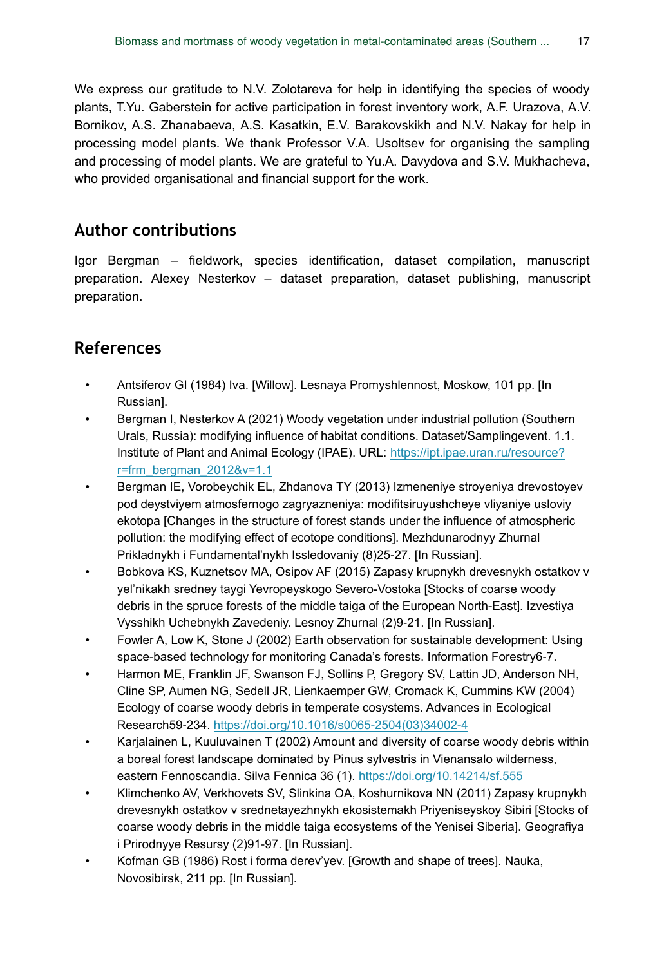We express our gratitude to N.V. Zolotareva for help in identifying the species of woody plants, T.Yu. Gaberstein for active participation in forest inventory work, A.F. Urazova, A.V. Bornikov, A.S. Zhanabaeva, A.S. Kasatkin, E.V. Barakovskikh and N.V. Nakay for help in processing model plants. We thank Professor V.A. Usoltsev for organising the sampling and processing of model plants. We are grateful to Yu.A. Davydova and S.V. Mukhacheva, who provided organisational and financial support for the work.

# **Author contributions**

Igor Bergman – fieldwork, species identification, dataset compilation, manuscript preparation. Alexey Nesterkov – dataset preparation, dataset publishing, manuscript preparation.

# **References**

- <span id="page-16-7"></span>• Antsiferov GI (1984) Iva. [Willow]. Lesnaya Promyshlennost, Moskow, 101 pp. [In Russian].
- <span id="page-16-8"></span>• Bergman I, Nesterkov A (2021) Woody vegetation under industrial pollution (Southern Urals, Russia): modifying influence of habitat conditions. Dataset/Samplingevent. 1.1. Institute of Plant and Animal Ecology (IPAE). URL: [https://ipt.ipae.uran.ru/resource?](https://ipt.ipae.uran.ru/resource?r=frm_bergman_2012&v=1.1) [r=frm\\_bergman\\_2012&v=1.1](https://ipt.ipae.uran.ru/resource?r=frm_bergman_2012&v=1.1)
- <span id="page-16-0"></span>• Bergman IE, Vorobeychik EL, Zhdanova TY (2013) Izmeneniye stroyeniya drevostoyev pod deystviyem atmosfernogo zagryazneniya: modifitsiruyushcheye vliyaniye usloviy ekotopa [Changes in the structure of forest stands under the influence of atmospheric pollution: the modifying effect of ecotope conditions]. Mezhdunarodnyy Zhurnal Prikladnykh i Fundamental'nykh Issledovaniy (8)25‑27. [In Russian].
- <span id="page-16-2"></span>• Bobkova KS, Kuznetsov MA, Osipov AF (2015) Zapasy krupnykh drevesnykh ostatkov v yel'nikakh sredney taygi Yevropeyskogo Severo-Vostoka [Stocks of coarse woody debris in the spruce forests of the middle taiga of the European North-East]. Izvestiya Vysshikh Uchebnykh Zavedeniy. Lesnoy Zhurnal (2)9‑21. [In Russian].
- <span id="page-16-1"></span>• Fowler A, Low K, Stone J (2002) Earth observation for sustainable development: Using space-based technology for monitoring Canada's forests. Information Forestry6‑7.
- <span id="page-16-4"></span>• Harmon ME, Franklin JF, Swanson FJ, Sollins P, Gregory SV, Lattin JD, Anderson NH, Cline SP, Aumen NG, Sedell JR, Lienkaemper GW, Cromack K, Cummins KW (2004) Ecology of coarse woody debris in temperate cosystems. Advances in Ecological Research59‑234. [https://doi.org/10.1016/s0065-2504\(03\)34002-4](https://doi.org/10.1016/s0065-2504(03)34002-4)
- <span id="page-16-3"></span>• Karjalainen L, Kuuluvainen T (2002) Amount and diversity of coarse woody debris within a boreal forest landscape dominated by Pinus sylvestris in Vienansalo wilderness, eastern Fennoscandia. Silva Fennica 36 (1). <https://doi.org/10.14214/sf.555>
- <span id="page-16-6"></span>• Klimchenko AV, Verkhovets SV, Slinkina OA, Koshurnikova NN (2011) Zapasy krupnykh drevesnykh ostatkov v srednetayezhnykh ekosistemakh Priyeniseyskoy Sibiri [Stocks of coarse woody debris in the middle taiga ecosystems of the Yenisei Siberia]. Geografiya i Prirodnyye Resursy (2)91‑97. [In Russian].
- <span id="page-16-5"></span>• Kofman GB (1986) Rost i forma derev'yev. [Growth and shape of trees]. Nauka, Novosibirsk, 211 pp. [In Russian].